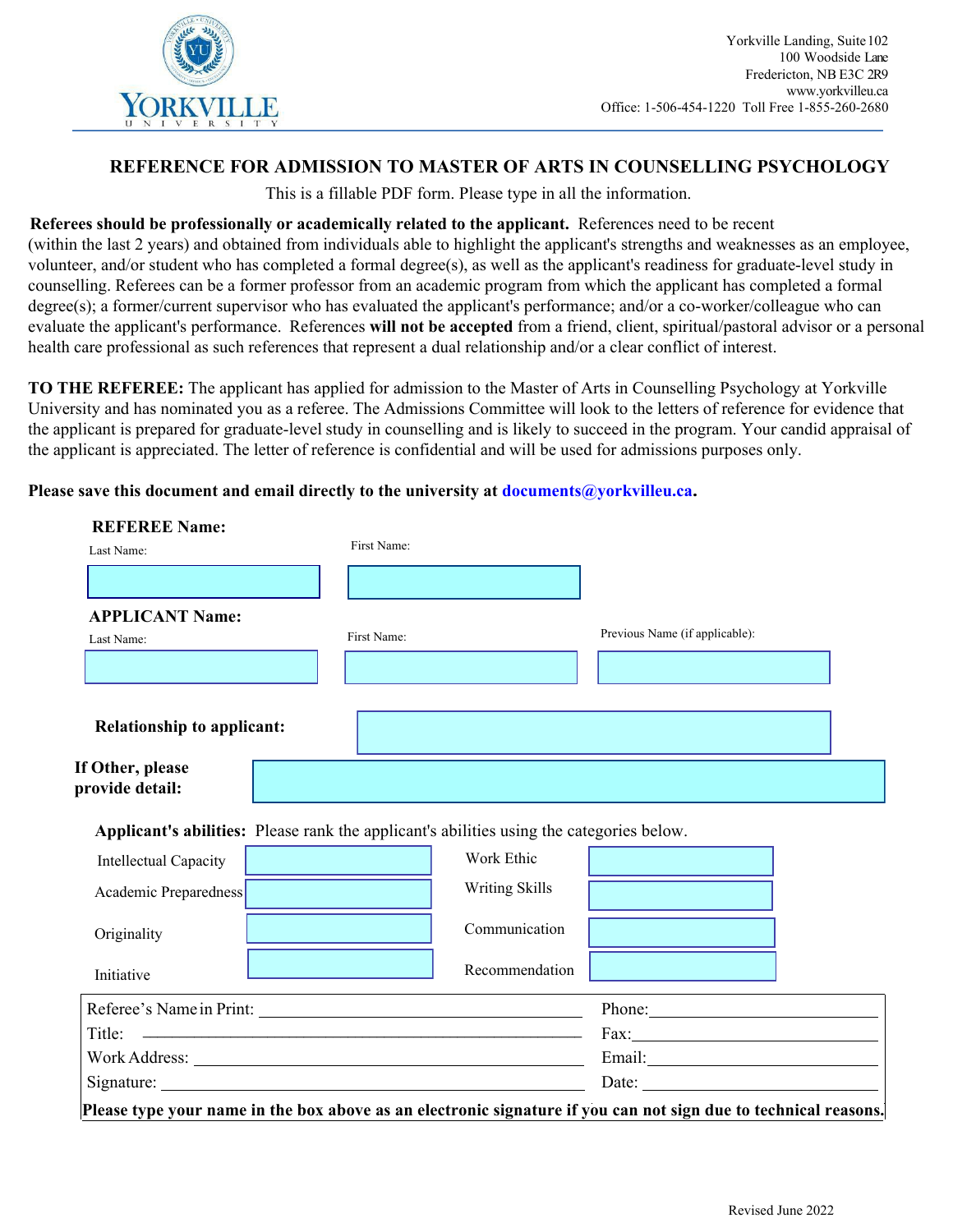

## **REFERENCE FOR ADMISSION TO MASTER OF ARTS IN COUNSELLING PSYCHOLOGY**

This is a fillable PDF form. Please type in all the information.

## **Referees should be professionally or academically related to the applicant.** References need to be recent

(within the last 2 years) and obtained from individuals able to highlight the applicant's strengths and weaknesses as an employee, volunteer, and/or student who has completed a formal degree(s), as well as the applicant's readiness for graduate-level study in counselling. Referees can be a former professor from an academic program from which the applicant has completed a formal degree(s); a former/current supervisor who has evaluated the applicant's performance; and/or a co-worker/colleague who can evaluate the applicant's performance. References **will not be accepted** from a friend, client, spiritual/pastoral advisor or a personal health care professional as such references that represent a dual relationship and/or a clear conflict of interest.

**TO THE REFEREE:** The applicant has applied for admission to the Master of Arts in Counselling Psychology at Yorkville University and has nominated you as a referee. The Admissions Committee will look to the letters of reference for evidence that the applicant is prepared for graduate-level study in counselling and is likely to succeed in the program. Your candid appraisal of the applicant is appreciated. The letter of reference is confidential and will be used for admissions purposes only.

## **Please save this document and email directly to the university at documents@yorkvilleu.ca.**

| <b>REFEREE Name:</b>                |                                                                                          |                        |                                |
|-------------------------------------|------------------------------------------------------------------------------------------|------------------------|--------------------------------|
| Last Name:                          | First Name:                                                                              |                        |                                |
|                                     |                                                                                          |                        |                                |
| <b>APPLICANT Name:</b>              |                                                                                          |                        |                                |
| Last Name:                          | First Name:                                                                              |                        | Previous Name (if applicable): |
|                                     |                                                                                          |                        |                                |
|                                     |                                                                                          |                        |                                |
| <b>Relationship to applicant:</b>   |                                                                                          | <b>Service Service</b> |                                |
| If Other, please<br>provide detail: |                                                                                          |                        |                                |
|                                     | Applicant's abilities: Please rank the applicant's abilities using the categories below. |                        |                                |
| Intellectual Capacity               |                                                                                          | Work Ethic             |                                |
| Academic Preparedness               |                                                                                          | Writing Skills         |                                |
|                                     |                                                                                          |                        |                                |
| Originality                         |                                                                                          | Communication          |                                |
| Initiative                          |                                                                                          | Recommendation         |                                |
|                                     |                                                                                          |                        |                                |
|                                     | Referee's Name in Print:                                                                 |                        | Phone:                         |
|                                     |                                                                                          |                        |                                |